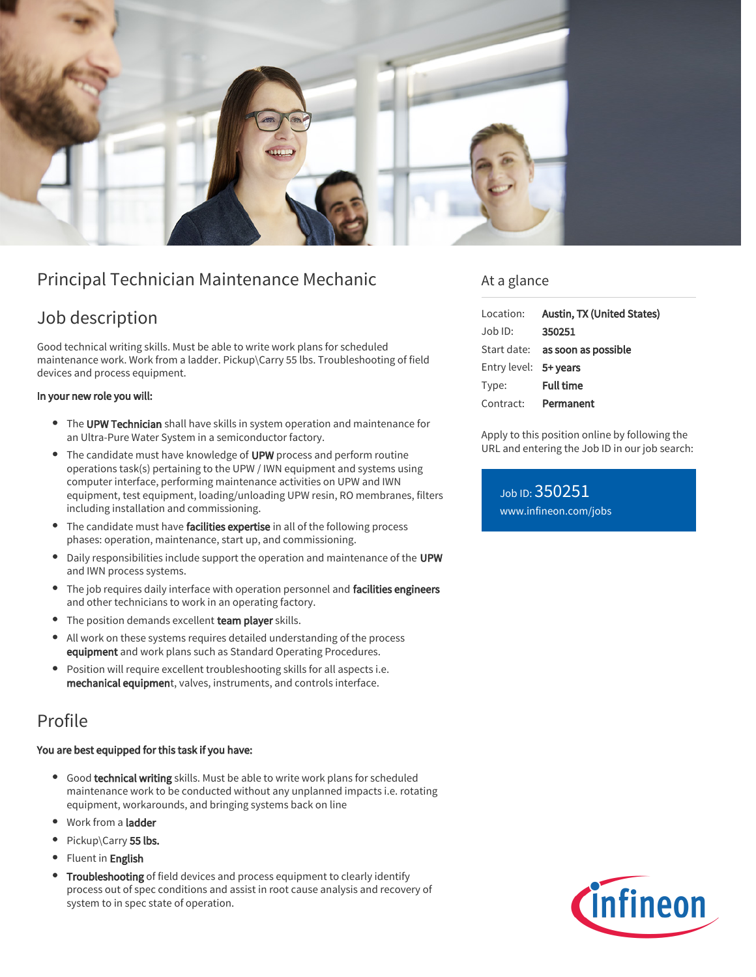

# Principal Technician Maintenance Mechanic

# Job description

Good technical writing skills. Must be able to write work plans for scheduled maintenance work. Work from a ladder. Pickup\Carry 55 lbs. Troubleshooting of field devices and process equipment.

#### In your new role you will:

- The UPW Technician shall have skills in system operation and maintenance for an Ultra-Pure Water System in a semiconductor factory.
- The candidate must have knowledge of UPW process and perform routine operations task(s) pertaining to the UPW / IWN equipment and systems using computer interface, performing maintenance activities on UPW and IWN equipment, test equipment, loading/unloading UPW resin, RO membranes, filters including installation and commissioning.
- The candidate must have facilities expertise in all of the following process phases: operation, maintenance, start up, and commissioning.
- Daily responsibilities include support the operation and maintenance of the UPW and IWN process systems.
- The job requires daily interface with operation personnel and facilities engineers and other technicians to work in an operating factory.
- The position demands excellent team player skills.
- $\bullet$ All work on these systems requires detailed understanding of the process equipment and work plans such as Standard Operating Procedures.
- Position will require excellent troubleshooting skills for all aspects i.e. mechanical equipment, valves, instruments, and controls interface.

## Profile

#### You are best equipped for this task if you have:

- Good technical writing skills. Must be able to write work plans for scheduled maintenance work to be conducted without any unplanned impacts i.e. rotating equipment, workarounds, and bringing systems back on line
- Work from a ladder
- Pickup\Carry 55 lbs.
- Fluent in English
- Troubleshooting of field devices and process equipment to clearly identify process out of spec conditions and assist in root cause analysis and recovery of system to in spec state of operation.

### At a glance

| Location:             | Austin, TX (United States)             |
|-----------------------|----------------------------------------|
| Job ID:               | 350251                                 |
|                       | Start date: <b>as soon as possible</b> |
| Entry level: 5+ years |                                        |
| Type:                 | <b>Full time</b>                       |
| Contract:             | Permanent                              |

Apply to this position online by following the URL and entering the Job ID in our job search:

Job ID: 350251 [www.infineon.com/jobs](https://www.infineon.com/jobs)